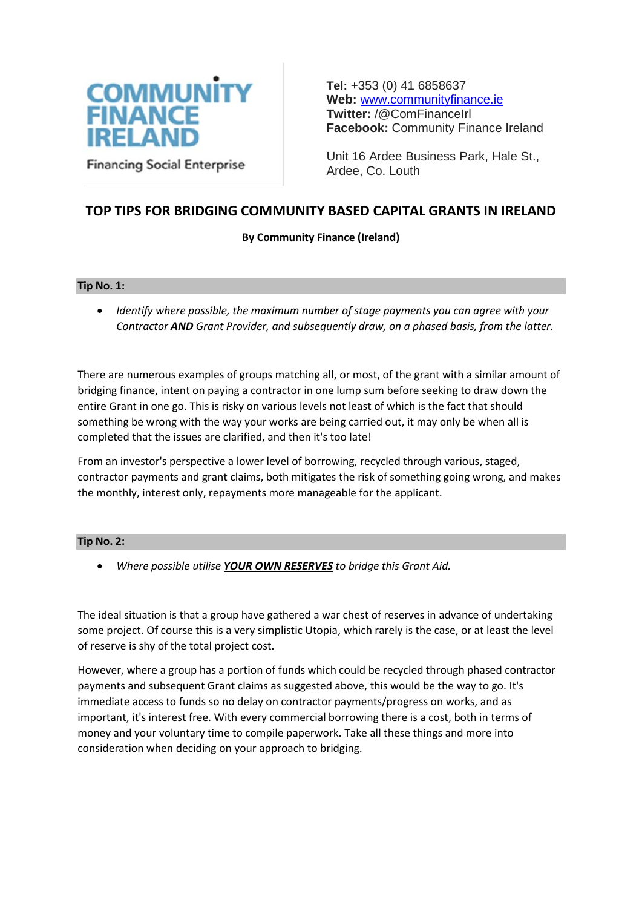

**Tel:** +353 (0) 41 6858637 **Web:** [www.communityfinance.ie](http://www.communityfinance.ie/)  **Twitter:** /@ComFinanceIrl **Facebook:** Community Finance Ireland

Unit 16 Ardee Business Park, Hale St., Ardee, Co. Louth

## **TOP TIPS FOR BRIDGING COMMUNITY BASED CAPITAL GRANTS IN IRELAND**

## **By Community Finance (Ireland)**

## **Tip No. 1:**

 *Identify where possible, the maximum number of stage payments you can agree with your Contractor AND Grant Provider, and subsequently draw, on a phased basis, from the latter.*

There are numerous examples of groups matching all, or most, of the grant with a similar amount of bridging finance, intent on paying a contractor in one lump sum before seeking to draw down the entire Grant in one go. This is risky on various levels not least of which is the fact that should something be wrong with the way your works are being carried out, it may only be when all is completed that the issues are clarified, and then it's too late!

From an investor's perspective a lower level of borrowing, recycled through various, staged, contractor payments and grant claims, both mitigates the risk of something going wrong, and makes the monthly, interest only, repayments more manageable for the applicant.

## **Tip No. 2:**

*Where possible utilise YOUR OWN RESERVES to bridge this Grant Aid.*

The ideal situation is that a group have gathered a war chest of reserves in advance of undertaking some project. Of course this is a very simplistic Utopia, which rarely is the case, or at least the level of reserve is shy of the total project cost.

However, where a group has a portion of funds which could be recycled through phased contractor payments and subsequent Grant claims as suggested above, this would be the way to go. It's immediate access to funds so no delay on contractor payments/progress on works, and as important, it's interest free. With every commercial borrowing there is a cost, both in terms of money and your voluntary time to compile paperwork. Take all these things and more into consideration when deciding on your approach to bridging.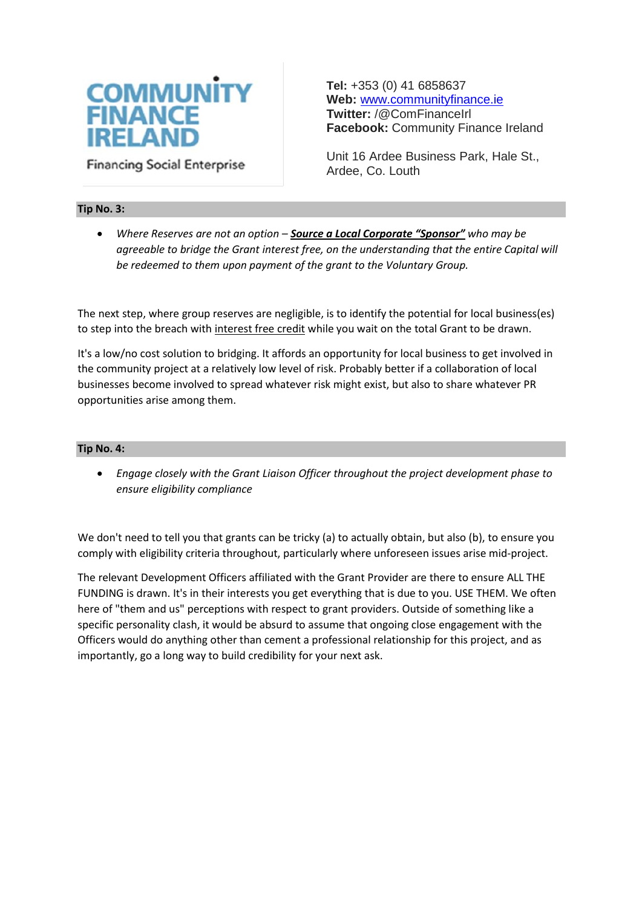# **COMMUNITY FINANCE IRELANI**

**Financing Social Enterprise** 

**Tel:** +353 (0) 41 6858637 **Web:** [www.communityfinance.ie](http://www.communityfinance.ie/)  **Twitter:** /@ComFinanceIrl **Facebook:** Community Finance Ireland

Unit 16 Ardee Business Park, Hale St., Ardee, Co. Louth

## **Tip No. 3:**

 *Where Reserves are not an option – Source a Local Corporate "Sponsor" who may be agreeable to bridge the Grant interest free, on the understanding that the entire Capital will be redeemed to them upon payment of the grant to the Voluntary Group.*

The next step, where group reserves are negligible, is to identify the potential for local business(es) to step into the breach with interest free credit while you wait on the total Grant to be drawn.

It's a low/no cost solution to bridging. It affords an opportunity for local business to get involved in the community project at a relatively low level of risk. Probably better if a collaboration of local businesses become involved to spread whatever risk might exist, but also to share whatever PR opportunities arise among them.

#### **Tip No. 4:**

 *Engage closely with the Grant Liaison Officer throughout the project development phase to ensure eligibility compliance*

We don't need to tell you that grants can be tricky (a) to actually obtain, but also (b), to ensure you comply with eligibility criteria throughout, particularly where unforeseen issues arise mid-project.

The relevant Development Officers affiliated with the Grant Provider are there to ensure ALL THE FUNDING is drawn. It's in their interests you get everything that is due to you. USE THEM. We often here of "them and us" perceptions with respect to grant providers. Outside of something like a specific personality clash, it would be absurd to assume that ongoing close engagement with the Officers would do anything other than cement a professional relationship for this project, and as importantly, go a long way to build credibility for your next ask.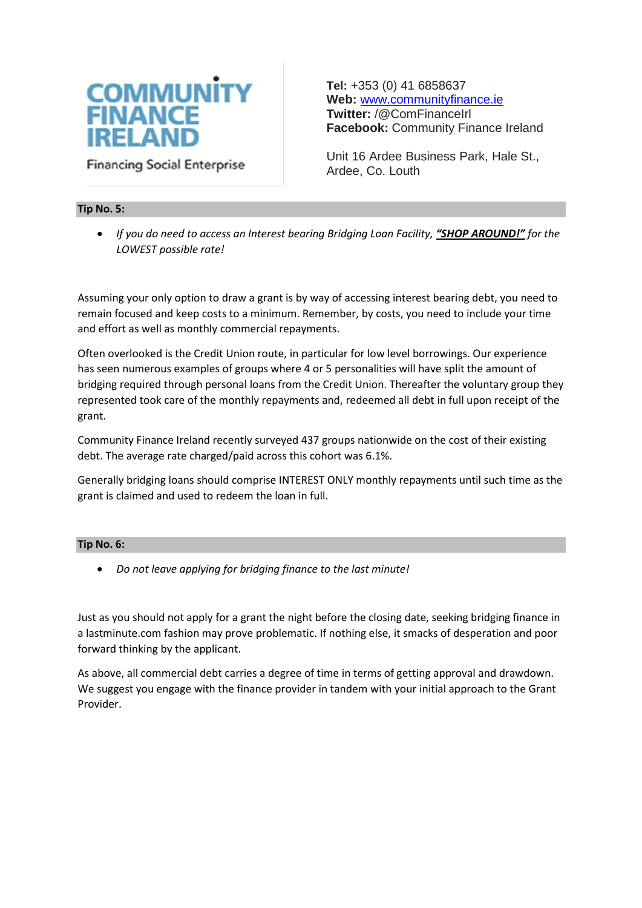

**Tel:** +353 (0) 41 6858637 **Web:** [www.communityfinance.ie](http://www.communityfinance.ie/)  **Twitter:** /@ComFinanceIrl **Facebook:** Community Finance Ireland

Unit 16 Ardee Business Park, Hale St., Ardee, Co. Louth

## **Tip No. 5:**

 *If you do need to access an Interest bearing Bridging Loan Facility, "SHOP AROUND!" for the LOWEST possible rate!*

Assuming your only option to draw a grant is by way of accessing interest bearing debt, you need to remain focused and keep costs to a minimum. Remember, by costs, you need to include your time and effort as well as monthly commercial repayments.

Often overlooked is the Credit Union route, in particular for low level borrowings. Our experience has seen numerous examples of groups where 4 or 5 personalities will have split the amount of bridging required through personal loans from the Credit Union. Thereafter the voluntary group they represented took care of the monthly repayments and, redeemed all debt in full upon receipt of the grant.

Community Finance Ireland recently surveyed 437 groups nationwide on the cost of their existing debt. The average rate charged/paid across this cohort was 6.1%.

Generally bridging loans should comprise INTEREST ONLY monthly repayments until such time as the grant is claimed and used to redeem the loan in full.

## **Tip No. 6:**

*Do not leave applying for bridging finance to the last minute!*

Just as you should not apply for a grant the night before the closing date, seeking bridging finance in a lastminute.com fashion may prove problematic. If nothing else, it smacks of desperation and poor forward thinking by the applicant.

As above, all commercial debt carries a degree of time in terms of getting approval and drawdown. We suggest you engage with the finance provider in tandem with your initial approach to the Grant Provider.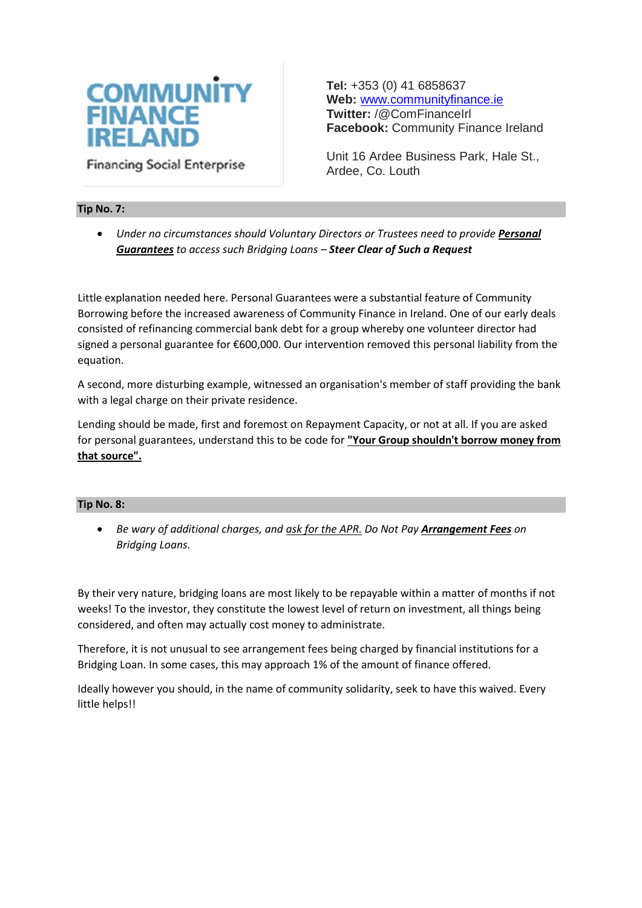

**Tel:** +353 (0) 41 6858637 **Web:** [www.communityfinance.ie](http://www.communityfinance.ie/)  **Twitter:** /@ComFinanceIrl **Facebook:** Community Finance Ireland

Unit 16 Ardee Business Park, Hale St., Ardee, Co. Louth

## **Tip No. 7:**

**•** Under no circumstances should Voluntary Directors or Trustees need to provide Personal *Guarantees to access such Bridging Loans – Steer Clear of Such a Request*

Little explanation needed here. Personal Guarantees were a substantial feature of Community Borrowing before the increased awareness of Community Finance in Ireland. One of our early deals consisted of refinancing commercial bank debt for a group whereby one volunteer director had signed a personal guarantee for €600,000. Our intervention removed this personal liability from the equation.

A second, more disturbing example, witnessed an organisation's member of staff providing the bank with a legal charge on their private residence.

Lending should be made, first and foremost on Repayment Capacity, or not at all. If you are asked for personal guarantees, understand this to be code for **"Your Group shouldn't borrow money from that source".**

## **Tip No. 8:**

 *Be wary of additional charges, and ask for the APR. Do Not Pay Arrangement Fees on Bridging Loans.*

By their very nature, bridging loans are most likely to be repayable within a matter of months if not weeks! To the investor, they constitute the lowest level of return on investment, all things being considered, and often may actually cost money to administrate.

Therefore, it is not unusual to see arrangement fees being charged by financial institutions for a Bridging Loan. In some cases, this may approach 1% of the amount of finance offered.

Ideally however you should, in the name of community solidarity, seek to have this waived. Every little helps!!